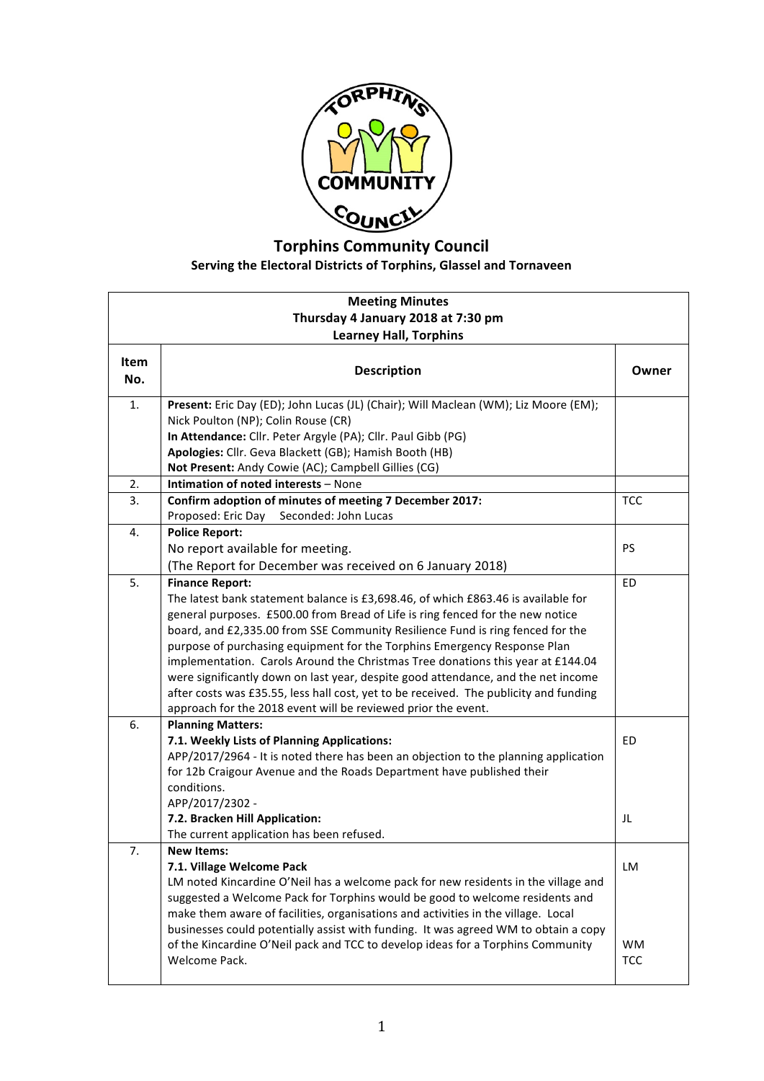

## **Torphins Community Council Serving the Electoral Districts of Torphins, Glassel and Tornaveen**

| <b>Meeting Minutes</b><br>Thursday 4 January 2018 at 7:30 pm<br><b>Learney Hall, Torphins</b> |                                                                                                                                                                                                                                                                                                                                                                                                                                                                                                                                                                                                                                                                                               |                               |  |
|-----------------------------------------------------------------------------------------------|-----------------------------------------------------------------------------------------------------------------------------------------------------------------------------------------------------------------------------------------------------------------------------------------------------------------------------------------------------------------------------------------------------------------------------------------------------------------------------------------------------------------------------------------------------------------------------------------------------------------------------------------------------------------------------------------------|-------------------------------|--|
| Item<br>No.                                                                                   | <b>Description</b>                                                                                                                                                                                                                                                                                                                                                                                                                                                                                                                                                                                                                                                                            | Owner                         |  |
| 1.                                                                                            | Present: Eric Day (ED); John Lucas (JL) (Chair); Will Maclean (WM); Liz Moore (EM);<br>Nick Poulton (NP); Colin Rouse (CR)<br>In Attendance: Cllr. Peter Argyle (PA); Cllr. Paul Gibb (PG)<br>Apologies: Cllr. Geva Blackett (GB); Hamish Booth (HB)<br>Not Present: Andy Cowie (AC); Campbell Gillies (CG)                                                                                                                                                                                                                                                                                                                                                                                   |                               |  |
| 2.                                                                                            | Intimation of noted interests - None                                                                                                                                                                                                                                                                                                                                                                                                                                                                                                                                                                                                                                                          |                               |  |
| 3.                                                                                            | Confirm adoption of minutes of meeting 7 December 2017:<br>Seconded: John Lucas<br>Proposed: Eric Day                                                                                                                                                                                                                                                                                                                                                                                                                                                                                                                                                                                         | <b>TCC</b>                    |  |
| 4.                                                                                            | <b>Police Report:</b><br>No report available for meeting.<br>(The Report for December was received on 6 January 2018)                                                                                                                                                                                                                                                                                                                                                                                                                                                                                                                                                                         | <b>PS</b>                     |  |
| 5.                                                                                            | <b>Finance Report:</b><br>The latest bank statement balance is £3,698.46, of which £863.46 is available for<br>general purposes. £500.00 from Bread of Life is ring fenced for the new notice<br>board, and £2,335.00 from SSE Community Resilience Fund is ring fenced for the<br>purpose of purchasing equipment for the Torphins Emergency Response Plan<br>implementation. Carols Around the Christmas Tree donations this year at £144.04<br>were significantly down on last year, despite good attendance, and the net income<br>after costs was £35.55, less hall cost, yet to be received. The publicity and funding<br>approach for the 2018 event will be reviewed prior the event. | <b>ED</b>                     |  |
| 6.                                                                                            | <b>Planning Matters:</b><br>7.1. Weekly Lists of Planning Applications:<br>APP/2017/2964 - It is noted there has been an objection to the planning application<br>for 12b Craigour Avenue and the Roads Department have published their<br>conditions.<br>APP/2017/2302 -<br>7.2. Bracken Hill Application:<br>The current application has been refused.                                                                                                                                                                                                                                                                                                                                      | <b>ED</b><br>JL               |  |
| 7.                                                                                            | <b>New Items:</b><br>7.1. Village Welcome Pack<br>LM noted Kincardine O'Neil has a welcome pack for new residents in the village and<br>suggested a Welcome Pack for Torphins would be good to welcome residents and<br>make them aware of facilities, organisations and activities in the village. Local<br>businesses could potentially assist with funding. It was agreed WM to obtain a copy<br>of the Kincardine O'Neil pack and TCC to develop ideas for a Torphins Community<br>Welcome Pack.                                                                                                                                                                                          | LM<br><b>WM</b><br><b>TCC</b> |  |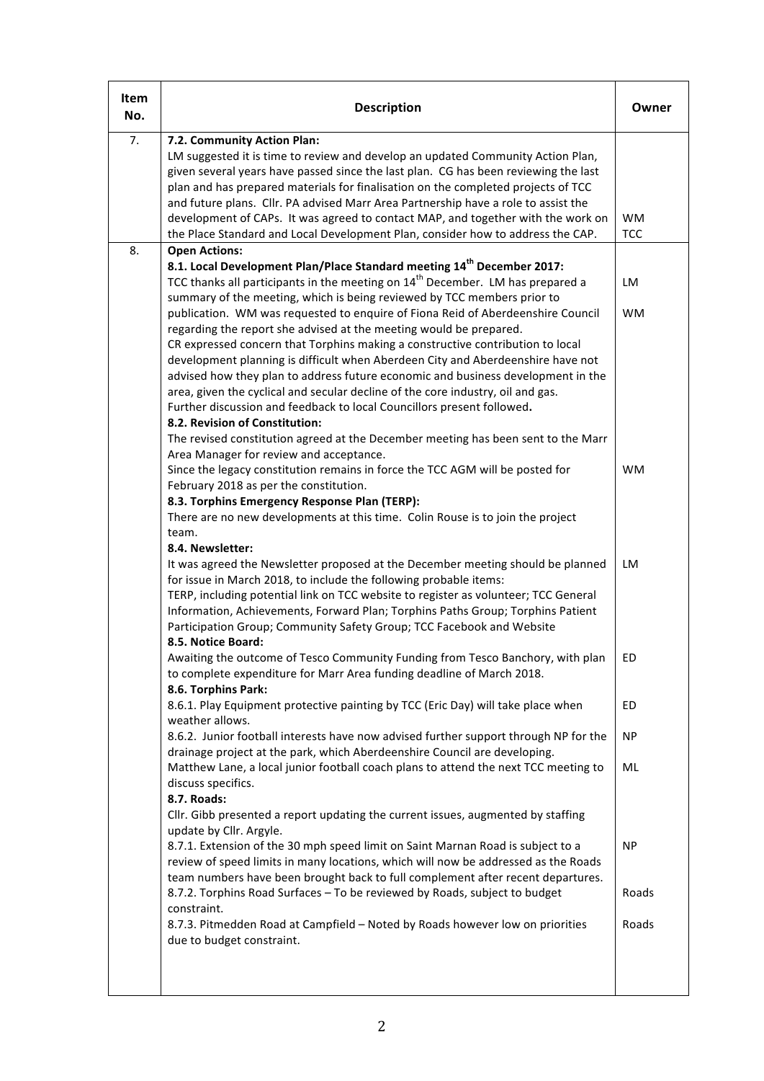| Item<br>No. | <b>Description</b>                                                                                                                                                                                                                                                                                                                                                                                                                                                                                                                                      | Owner                   |
|-------------|---------------------------------------------------------------------------------------------------------------------------------------------------------------------------------------------------------------------------------------------------------------------------------------------------------------------------------------------------------------------------------------------------------------------------------------------------------------------------------------------------------------------------------------------------------|-------------------------|
| 7.          | 7.2. Community Action Plan:<br>LM suggested it is time to review and develop an updated Community Action Plan,<br>given several years have passed since the last plan. CG has been reviewing the last<br>plan and has prepared materials for finalisation on the completed projects of TCC<br>and future plans. Cllr. PA advised Marr Area Partnership have a role to assist the<br>development of CAPs. It was agreed to contact MAP, and together with the work on<br>the Place Standard and Local Development Plan, consider how to address the CAP. | <b>WM</b><br><b>TCC</b> |
| 8.          | <b>Open Actions:</b>                                                                                                                                                                                                                                                                                                                                                                                                                                                                                                                                    |                         |
|             | 8.1. Local Development Plan/Place Standard meeting 14 <sup>th</sup> December 2017:<br>TCC thanks all participants in the meeting on 14 <sup>th</sup> December. LM has prepared a<br>summary of the meeting, which is being reviewed by TCC members prior to<br>publication. WM was requested to enquire of Fiona Reid of Aberdeenshire Council<br>regarding the report she advised at the meeting would be prepared.<br>CR expressed concern that Torphins making a constructive contribution to local                                                  | LM<br><b>WM</b>         |
|             | development planning is difficult when Aberdeen City and Aberdeenshire have not<br>advised how they plan to address future economic and business development in the<br>area, given the cyclical and secular decline of the core industry, oil and gas.<br>Further discussion and feedback to local Councillors present followed.<br>8.2. Revision of Constitution:<br>The revised constitution agreed at the December meeting has been sent to the Marr<br>Area Manager for review and acceptance.                                                      |                         |
|             | Since the legacy constitution remains in force the TCC AGM will be posted for<br>February 2018 as per the constitution.<br>8.3. Torphins Emergency Response Plan (TERP):<br>There are no new developments at this time. Colin Rouse is to join the project<br>team.                                                                                                                                                                                                                                                                                     | <b>WM</b>               |
|             | 8.4. Newsletter:<br>It was agreed the Newsletter proposed at the December meeting should be planned<br>for issue in March 2018, to include the following probable items:<br>TERP, including potential link on TCC website to register as volunteer; TCC General<br>Information, Achievements, Forward Plan; Torphins Paths Group; Torphins Patient<br>Participation Group; Community Safety Group; TCC Facebook and Website<br>8.5. Notice Board:                                                                                                       | LM                      |
|             | Awaiting the outcome of Tesco Community Funding from Tesco Banchory, with plan<br>to complete expenditure for Marr Area funding deadline of March 2018.<br>8.6. Torphins Park:                                                                                                                                                                                                                                                                                                                                                                          | ED                      |
|             | 8.6.1. Play Equipment protective painting by TCC (Eric Day) will take place when<br>weather allows.                                                                                                                                                                                                                                                                                                                                                                                                                                                     | ED                      |
|             | 8.6.2. Junior football interests have now advised further support through NP for the<br>drainage project at the park, which Aberdeenshire Council are developing.                                                                                                                                                                                                                                                                                                                                                                                       | <b>NP</b>               |
|             | Matthew Lane, a local junior football coach plans to attend the next TCC meeting to<br>discuss specifics.<br>8.7. Roads:<br>Cllr. Gibb presented a report updating the current issues, augmented by staffing<br>update by Cllr. Argyle.                                                                                                                                                                                                                                                                                                                 | ML                      |
|             | 8.7.1. Extension of the 30 mph speed limit on Saint Marnan Road is subject to a<br>review of speed limits in many locations, which will now be addressed as the Roads<br>team numbers have been brought back to full complement after recent departures.<br>8.7.2. Torphins Road Surfaces - To be reviewed by Roads, subject to budget                                                                                                                                                                                                                  | <b>NP</b><br>Roads      |
|             | constraint.<br>8.7.3. Pitmedden Road at Campfield - Noted by Roads however low on priorities                                                                                                                                                                                                                                                                                                                                                                                                                                                            | Roads                   |
|             | due to budget constraint.                                                                                                                                                                                                                                                                                                                                                                                                                                                                                                                               |                         |